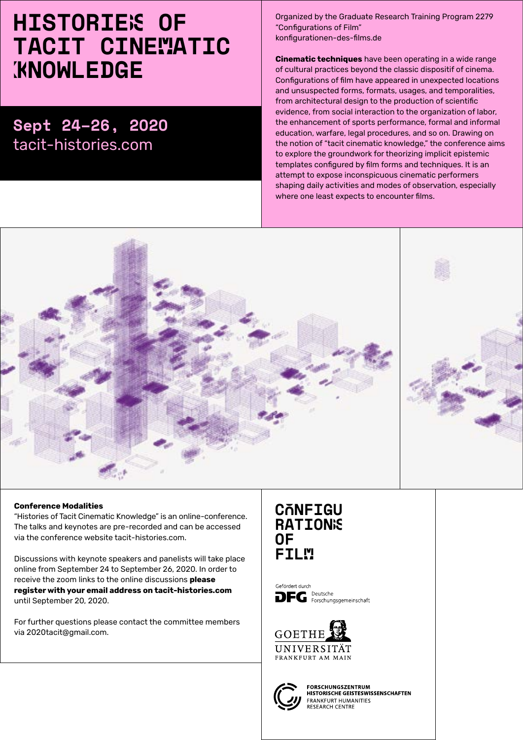## HISTORIES OF TACIT CINEMATIC **KNOWLEDGE**

### Sept 24–26, 2020 [tacit-histories.com](http://tacit-histories.com)

Organized by the Graduate Research Training Program 2279 "Configurations of Film" [konfigurationen-des-films.de](http://konfigurationen-des-films.de  ) 

**Cinematic techniques** have been operating in a wide range of cultural practices beyond the classic dispositif of cinema. Configurations of film have appeared in unexpected locations and unsuspected forms, formats, usages, and temporalities, from architectural design to the production of scientific evidence, from social interaction to the organization of labor, the enhancement of sports performance, formal and informal education, warfare, legal procedures, and so on. Drawing on the notion of "tacit cinematic knowledge," the conference aims to explore the groundwork for theorizing implicit epistemic templates configured by film forms and techniques. It is an attempt to expose inconspicuous cinematic performers shaping daily activities and modes of observation, especially where one least expects to encounter films.



#### **Conference Modalities**

"Histories of Tacit Cinematic Knowledge" is an online-conference. The talks and keynotes are pre-recorded and can be accessed via the conference website [tacit-histories.com](http:// tacit-histories.com).

Discussions with keynote speakers and panelists will take place online from September 24 to September 26, 2020. In order to receive the zoom links to the online discussions **please register with your email address on [tacit-histories.com](http://tacit-histories.com )** until September 20, 2020.

For further questions please contact the committee members via [2020tacit@gmail.com](mailto:2020tacit@gmail.com).

#### CONFIGU **RATIONS** OF **FILM**

Gefördert durch Deutsche  $\mathbf{DFG}$  Peutsche Forschungsgemeinschaft





**FORSCHUNGSZENTRUM** HISTORISCHE GEISTESWISSENSCHAFTEN FRANKFURT HUMANITIES<br>RESEARCH CENTRE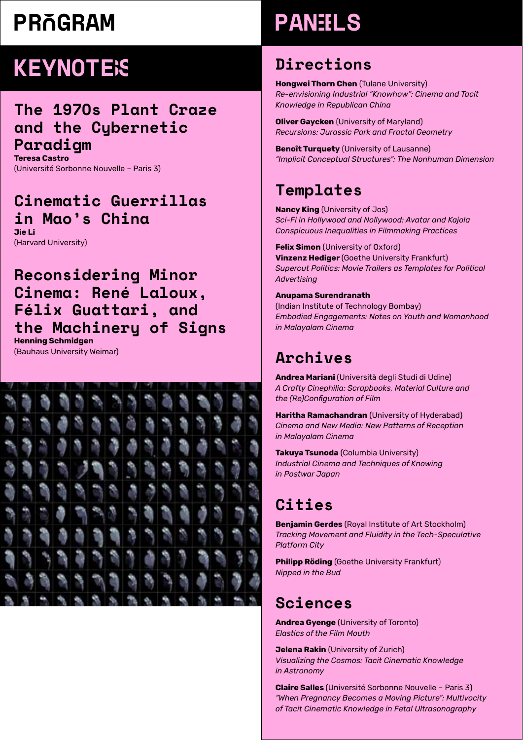## PRÑGRAM

## **KEYNOTE**<sub>S</sub>

#### The 1970s Plant Craze and the Cybernetic Paradigm

**Teresa Castro** (Université Sorbonne Nouvelle – Paris 3)

#### Cinematic Guerrillas in Mao's China **Jie Li**

(Harvard University)

#### Reconsidering Minor Cinema: René Laloux, Félix Guattari, and the Machinery of Signs **Henning Schmidgen**

(Bauhaus University Weimar)



# PANELS

#### Directions

**Hongwei Thorn Chen** (Tulane University) *Re-envisioning Industrial "Knowhow": Cinema and Tacit Knowledge in Republican China*

**Oliver Gaycken** (University of Maryland) *Recursions: Jurassic Park and Fractal Geometry*

**Benoît Turquety** (University of Lausanne) *"Implicit Conceptual Structures": The Nonhuman Dimension*

### Templates

**Nancy King** (University of Jos) *Sci-Fi in Hollywood and Nollywood: Avatar and Kajola Conspicuous Inequalities in Filmmaking Practices*

**Felix Simon** (University of Oxford) **Vinzenz Hediger** (Goethe University Frankfurt) *Supercut Politics: Movie Trailers as Templates for Political Advertising*

#### **Anupama Surendranath**

(Indian Institute of Technology Bombay) *Embodied Engagements: Notes on Youth and Womanhood in Malayalam Cinema*

### Archives

**Andrea Mariani** (Università degli Studi di Udine) *A Crafty Cinephilia: Scrapbooks, Material Culture and the (Re)Configuration of Film*

**Haritha Ramachandran** (University of Hyderabad) *Cinema and New Media: New Patterns of Reception in Malayalam Cinema*

**Takuya Tsunoda** (Columbia University) *Industrial Cinema and Techniques of Knowing in Postwar Japan*

### Cities

**Benjamin Gerdes** (Royal Institute of Art Stockholm) *Tracking Movement and Fluidity in the Tech-Speculative Platform City*

**Philipp Röding** (Goethe University Frankfurt) *Nipped in the Bud*

#### Sciences

**Andrea Gyenge** (University of Toronto) *Elastics of the Film Mouth*

**Jelena Rakin** (University of Zurich) *Visualizing the Cosmos: Tacit Cinematic Knowledge in Astronomy*

**Claire Salles** (Université Sorbonne Nouvelle – Paris 3) *"When Pregnancy Becomes a Moving Picture": Multivocity of Tacit Cinematic Knowledge in Fetal Ultrasonography*